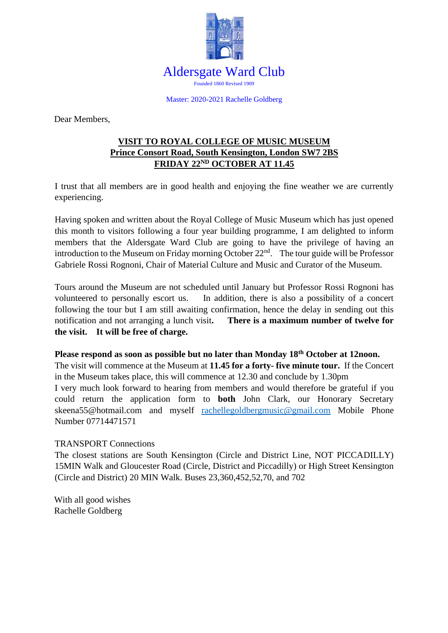

Master: 2020-2021 Rachelle Goldberg

Dear Members,

## **VISIT TO ROYAL COLLEGE OF MUSIC MUSEUM Prince Consort Road, South Kensington, London SW7 2BS FRIDAY 22ND OCTOBER AT 11.45**

I trust that all members are in good health and enjoying the fine weather we are currently experiencing.

Having spoken and written about the Royal College of Music Museum which has just opened this month to visitors following a four year building programme, I am delighted to inform members that the Aldersgate Ward Club are going to have the privilege of having an introduction to the Museum on Friday morning October 22<sup>nd</sup>. The tour guide will be Professor Gabriele Rossi Rognoni, Chair of Material Culture and Music and Curator of the Museum.

Tours around the Museum are not scheduled until January but Professor Rossi Rognoni has volunteered to personally escort us. In addition, there is also a possibility of a concert following the tour but I am still awaiting confirmation, hence the delay in sending out this notification and not arranging a lunch visit**. There is a maximum number of twelve for the visit. It will be free of charge.**

#### **Please respond as soon as possible but no later than Monday 18th October at 12noon.**

The visit will commence at the Museum at **11.45 for a forty- five minute tour.** If the Concert in the Museum takes place, this will commence at 12.30 and conclude by 1.30pm I very much look forward to hearing from members and would therefore be grateful if you could return the application form to **both** John Clark, our Honorary Secretary skeena55@hotmail.com and myself [rachellegoldbergmusic@gmail.com](mailto:rachellegoldbergmusic@gmail.com) Mobile Phone Number 07714471571

### TRANSPORT Connections

The closest stations are South Kensington (Circle and District Line, NOT PICCADILLY) 15MIN Walk and Gloucester Road (Circle, District and Piccadilly) or High Street Kensington (Circle and District) 20 MIN Walk. Buses 23,360,452,52,70, and 702

With all good wishes Rachelle Goldberg